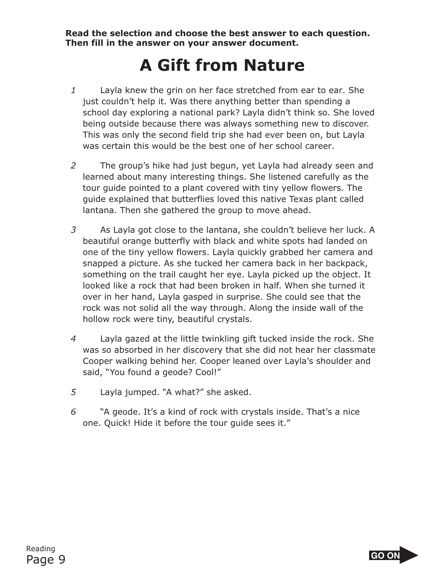**Read the selection and choose the best answer to each question. Then fill in the answer on your answer document.**

## **A Gift from Nature**

- *1* Layla knew the grin on her face stretched from ear to ear. She just couldn't help it. Was there anything better than spending a school day exploring a national park? Layla didn't think so. She loved being outside because there was always something new to discover. This was only the second field trip she had ever been on, but Layla was certain this would be the best one of her school career.
- *2* The group's hike had just begun, yet Layla had already seen and learned about many interesting things. She listened carefully as the tour guide pointed to a plant covered with tiny yellow flowers. The guide explained that butterflies loved this native Texas plant called lantana. Then she gathered the group to move ahead.
- *3* As Layla got close to the lantana, she couldn't believe her luck. A beautiful orange butterfly with black and white spots had landed on one of the tiny yellow flowers. Layla quickly grabbed her camera and snapped a picture. As she tucked her camera back in her backpack, something on the trail caught her eye. Layla picked up the object. It looked like a rock that had been broken in half. When she turned it over in her hand, Layla gasped in surprise. She could see that the rock was not solid all the way through. Along the inside wall of the hollow rock were tiny, beautiful crystals.
- *4* Layla gazed at the little twinkling gift tucked inside the rock. She was so absorbed in her discovery that she did not hear her classmate Cooper walking behind her. Cooper leaned over Layla's shoulder and said, "You found a geode? Cool!"
- *5* Layla jumped. "A what?" she asked.
- *6* "A geode. It's a kind of rock with crystals inside. That's a nice one. Quick! Hide it before the tour guide sees it."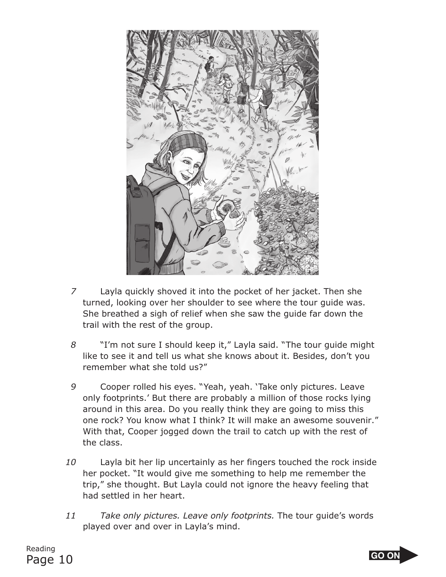

- *7* Layla quickly shoved it into the pocket of her jacket. Then she turned, looking over her shoulder to see where the tour guide was. She breathed a sigh of relief when she saw the guide far down the trail with the rest of the group.
- *8* "I'm not sure I should keep it," Layla said. "The tour guide might like to see it and tell us what she knows about it. Besides, don't you remember what she told us?"
- *9* Cooper rolled his eyes. "Yeah, yeah. 'Take only pictures. Leave only footprints.' But there are probably a million of those rocks lying around in this area. Do you really think they are going to miss this one rock? You know what I think? It will make an awesome souvenir." With that, Cooper jogged down the trail to catch up with the rest of the class.
- *10* Layla bit her lip uncertainly as her fingers touched the rock inside her pocket. "It would give me something to help me remember the trip," she thought. But Layla could not ignore the heavy feeling that had settled in her heart.
- *11 Take only pictures. Leave only footprints.* The tour guide's words played over and over in Layla's mind.

Reading Page 10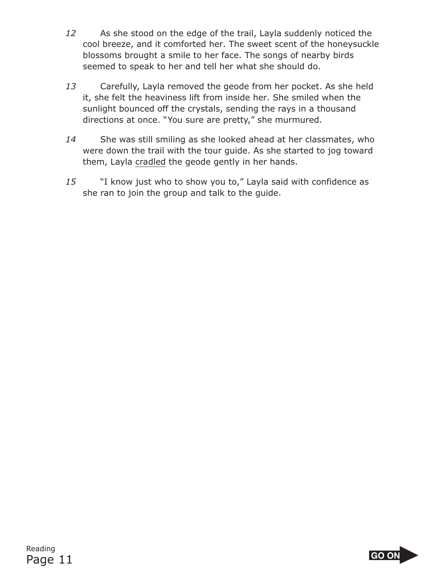- *12* As she stood on the edge of the trail, Layla suddenly noticed the cool breeze, and it comforted her. The sweet scent of the honeysuckle blossoms brought a smile to her face. The songs of nearby birds seemed to speak to her and tell her what she should do.
- *13* Carefully, Layla removed the geode from her pocket. As she held it, she felt the heaviness lift from inside her. She smiled when the sunlight bounced off the crystals, sending the rays in a thousand directions at once. "You sure are pretty," she murmured.
- *14* She was still smiling as she looked ahead at her classmates, who were down the trail with the tour guide. As she started to jog toward them, Layla cradled the geode gently in her hands.
- *15* "I know just who to show you to," Layla said with confidence as she ran to join the group and talk to the guide.

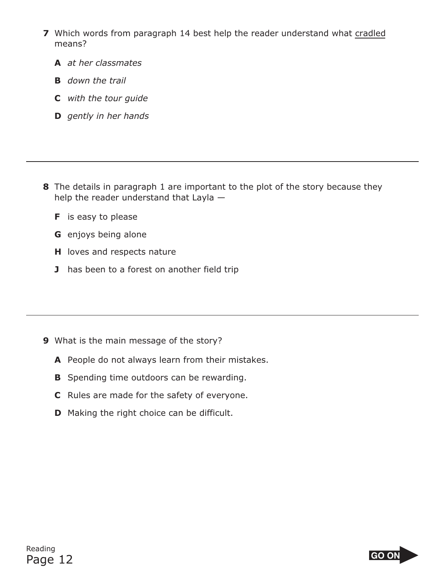- **7** Which words from paragraph 14 best help the reader understand what cradled means?
	- **A** *at her classmates*
	- **B** *down the trail*
	- **C** *with the tour guide*
	- **D** *gently in her hands*

- **8** The details in paragraph 1 are important to the plot of the story because they help the reader understand that Layla —
	- **F** is easy to please
	- **G** enjoys being alone
	- **H** loves and respects nature
	- **J** has been to a forest on another field trip

- **9** What is the main message of the story?
	- **A** People do not always learn from their mistakes.
	- **B** Spending time outdoors can be rewarding.
	- **C** Rules are made for the safety of everyone.
	- **D** Making the right choice can be difficult.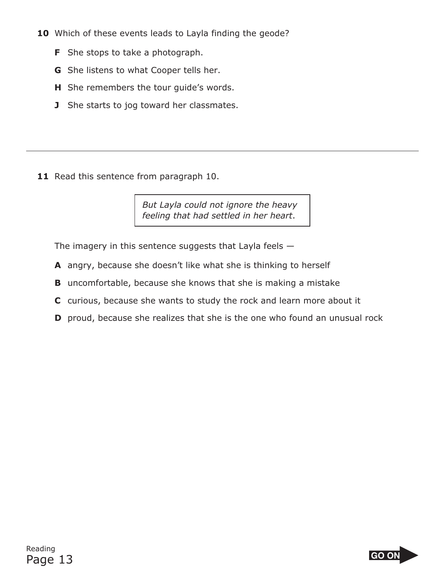- 10 Which of these events leads to Layla finding the geode?
	- **F** She stops to take a photograph.
	- **G** She listens to what Cooper tells her.
	- **H** She remembers the tour guide's words.
	- **J** She starts to jog toward her classmates.

11 Read this sentence from paragraph 10.

*But Layla could not ignore the heavy feeling that had settled in her heart*.

The imagery in this sentence suggests that Layla feels  $-$ 

- **A** angry, because she doesn't like what she is thinking to herself
- **B** uncomfortable, because she knows that she is making a mistake
- **C** curious, because she wants to study the rock and learn more about it
- **D** proud, because she realizes that she is the one who found an unusual rock

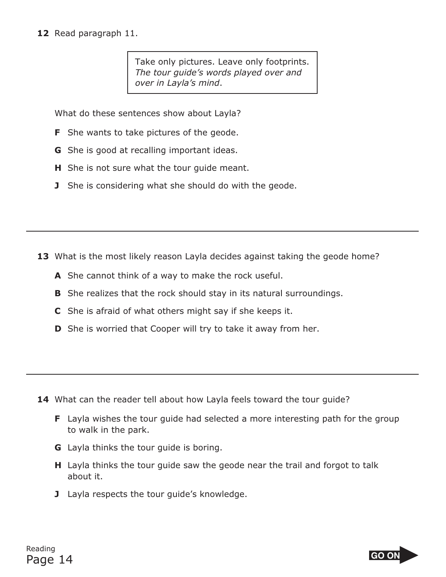## **12** Read paragraph 11.

Take only pictures. Leave only footprints. *The tour guide's words played over and over in Layla's mind*.

What do these sentences show about Layla?

- **F** She wants to take pictures of the geode.
- **G** She is good at recalling important ideas.
- **H** She is not sure what the tour guide meant.
- **J** She is considering what she should do with the geode.

- **13** What is the most likely reason Layla decides against taking the geode home?
	- **A** She cannot think of a way to make the rock useful.
	- **B** She realizes that the rock should stay in its natural surroundings.
	- **C** She is afraid of what others might say if she keeps it.
	- **D** She is worried that Cooper will try to take it away from her.

- **14** What can the reader tell about how Layla feels toward the tour guide?
	- **F** Layla wishes the tour guide had selected a more interesting path for the group to walk in the park.
	- **G** Layla thinks the tour guide is boring.
	- **H** Layla thinks the tour guide saw the geode near the trail and forgot to talk about it.
	- **J** Layla respects the tour guide's knowledge.